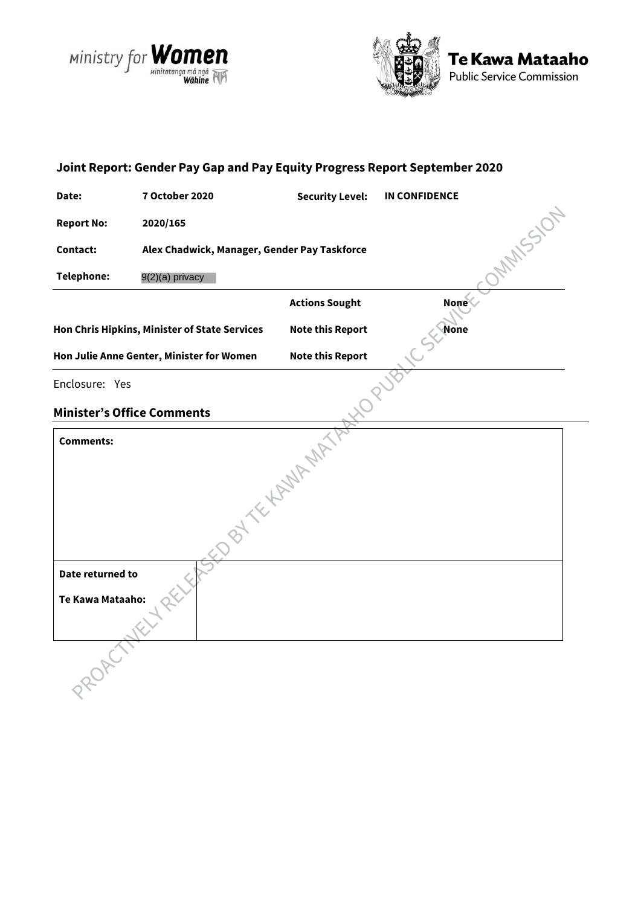





# **Joint Report: Gender Pay Gap and Pay Equity Progress Report September 2020 Date: 7 October 2020 Security Level: IN CONFIDENCE** ONAMSSION **Report No: 2020/165 Contact: Alex Chadwick, Manager, Gender Pay Taskforce Telephone:** 9(2)(a) privacy**Actions Sought None Hon Chris Hipkins, Minister of State Services Note this Report None Hon Julie Anne Genter, Minister for Women Note this Report**<br>
Enclosure: Yes<br> **Minister's Office Commenter** Enclosure: Yes **Minister's Office Comments <br>
Comments:**<br>
<br>
Date re **Comments: Date returned to Te Kawa Mataaho:**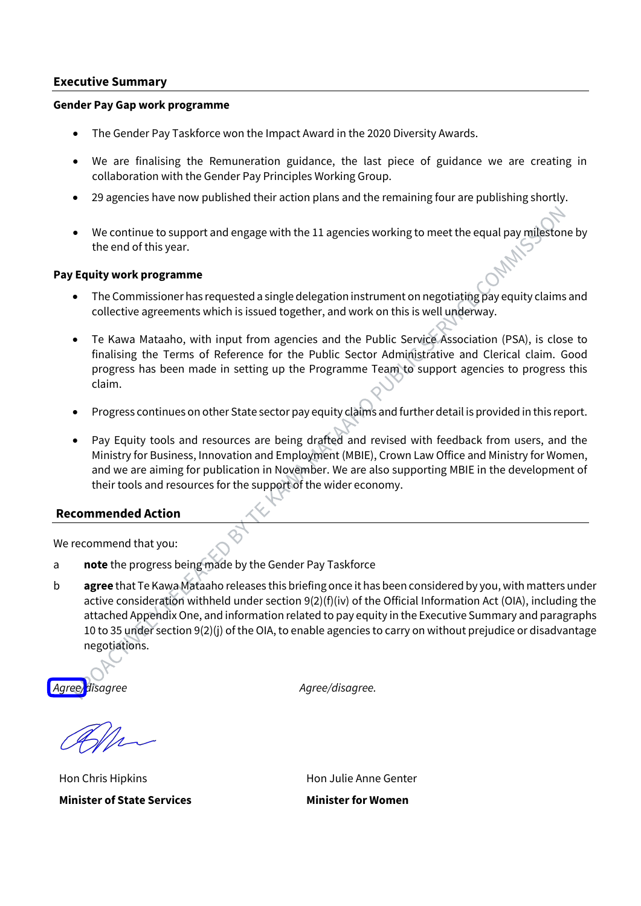#### **Executive Summary**

#### **Gender Pay Gap work programme**

- The Gender Pay Taskforce won the Impact Award in the 2020 Diversity Awards.
- We are finalising the Remuneration guidance, the last piece of guidance we are creating in collaboration with the Gender Pay Principles Working Group.
- 29 agencies have now published their action plans and the remaining four are publishing shortly.
- We continue to support and engage with the 11 agencies working to meet the equal pay milestone by the end of this year.

#### **Pay Equity work programme**

- The Commissioner has requested a single delegation instrument on negotiating pay equity claims and collective agreements which is issued together, and work on this is well underway.
- Te Kawa Mataaho, with input from agencies and the Public Service Association (PSA), is close to finalising the Terms of Reference for the Public Sector Administrative and Clerical claim. Good progress has been made in setting up the Programme Team to support agencies to progress this claim.
- Progress continues on other State sector pay equity claims and further detail is provided in this report.
- Pay Equity tools and resources are being drafted and revised with feedback from users, and the Ministry for Business, Innovation and Employment (MBIE), Crown Law Office and Ministry for Women, and we are aiming for publication in November. We are also supporting MBIE in the development of their tools and resources for the support of the wider economy.

# **Recommended Action**

We recommend that you:

a **note** the progress being made by the Gender Pay Taskforce

b **agree** that Te Kawa Mataaho releases this briefing once it has been considered by you, with matters under active consideration withheld under section 9(2)(f)(iv) of the Official Information Act (OIA), including the attached Appendix One, and information related to pay equity in the Executive Summary and paragraphs 10 to 35 under section 9(2)(j) of the OIA, to enable agencies to carry on without prejudice or disadvantage negotiations.

*Agree/disagree Agree/disagree.*

Hon Chris Hipkins **Minister of State Services** Hon Julie Anne Genter

**Minister for Women**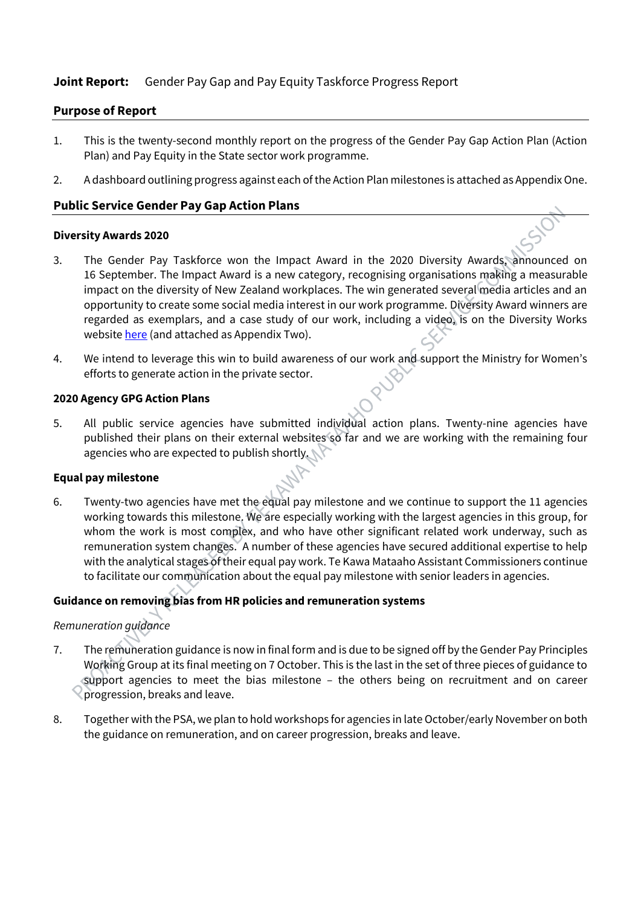# **Joint Report:** Gender Pay Gap and Pay Equity Taskforce Progress Report

# **Purpose of Report**

- 1. This is the twenty-second monthly report on the progress of the Gender Pay Gap Action Plan (Action Plan) and Pay Equity in the State sector work programme.
- 2. A dashboard outlining progress against each of the Action Plan milestones is attached as Appendix One.

# **Public Service Gender Pay Gap Action Plans**

#### **Diversity Awards 2020**

- 3. The Gender Pay Taskforce won the Impact Award in the 2020 Diversity Awards, announced on 16 September. The Impact Award is a new category, recognising organisations making a measurable impact on the diversity of New Zealand workplaces. The win generated several media articles and an opportunity to create some social media interest in our work programme. Diversity Award winners are regarded as exemplars, and a case study of our work, including a video, is on the Diversity Works website here (and attached as Appendix Two).
- 4. We intend to leverage this win to build awareness of our work and support the Ministry for Women's efforts to generate action in the private sector.

#### **2020 Agency GPG Action Plans**

5. All public service agencies have submitted individual action plans. Twenty-nine agencies have published their plans on their external websites so far and we are working with the remaining four agencies who are expected to publish shortly.

#### **Equal pay milestone**

6. Twenty-two agencies have met the equal pay milestone and we continue to support the 11 agencies working towards this milestone. We are especially working with the largest agencies in this group, for whom the work is most complex, and who have other significant related work underway, such as remuneration system changes. A number of these agencies have secured additional expertise to help with the analytical stages of their equal pay work. Te Kawa Mataaho Assistant Commissioners continue to facilitate our communication about the equal pay milestone with senior leaders in agencies.

# **Guidance on removing bias from HR policies and remuneration systems**

#### *Remuneration guidance*

- 7. The remuneration guidance is now in final form and is due to be signed off by the Gender Pay Principles Working Group at its final meeting on 7 October. This is the last in the set of three pieces of guidance to support agencies to meet the bias milestone - the others being on recruitment and on career progression, breaks and leave.
- 8. Together with the PSA, we plan to hold workshops for agencies in late October/early November on both the guidance on remuneration, and on career progression, breaks and leave.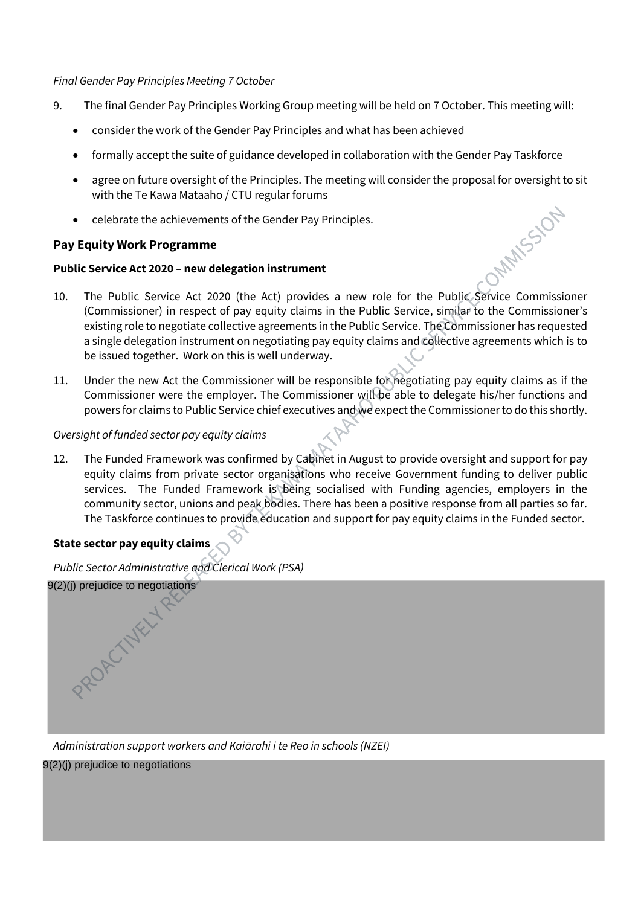#### *Final Gender Pay Principles Meeting 7 October*

- 9. The final Gender Pay Principles Working Group meeting will be held on 7 October. This meeting will:
	- consider the work of the Gender Pay Principles and what has been achieved
	- formally accept the suite of guidance developed in collaboration with the Gender Pay Taskforce
	- agree on future oversight of the Principles. The meeting will consider the proposal for oversight to sit with the Te Kawa Mataaho / CTU regular forums
	- celebrate the achievements of the Gender Pay Principles.

# **Pay Equity Work Programme**

#### **Public Service Act 2020 – new delegation instrument**

- 10. The Public Service Act 2020 (the Act) provides a new role for the Public Service Commissioner (Commissioner) in respect of pay equity claims in the Public Service, similar to the Commissioner's existing role to negotiate collective agreements in the Public Service. The Commissioner has requested a single delegation instrument on negotiating pay equity claims and collective agreements which is to be issued together. Work on this is well underway.
- 11. Under the new Act the Commissioner will be responsible for negotiating pay equity claims as if the Commissioner were the employer. The Commissioner will be able to delegate his/her functions and powers for claims to Public Service chief executives and we expect the Commissioner to do this shortly.

#### *Oversight of funded sector pay equity claims*

12. The Funded Framework was confirmed by Cabinet in August to provide oversight and support for pay equity claims from private sector organisations who receive Government funding to deliver public services. The Funded Framework is being socialised with Funding agencies, employers in the community sector, unions and peak bodies. There has been a positive response from all parties so far. The Taskforce continues to provide education and support for pay equity claims in the Funded sector.

# **State sector pay equity claims**

OACTWELLY

*Public Sector Administrative and Clerical Work (PSA)*  9(2)(j) prejudice to negotiations

*Administration support workers and Kaiārahi i te Reo in schools (NZEI)* 

9(2)(j) prejudice to negotiations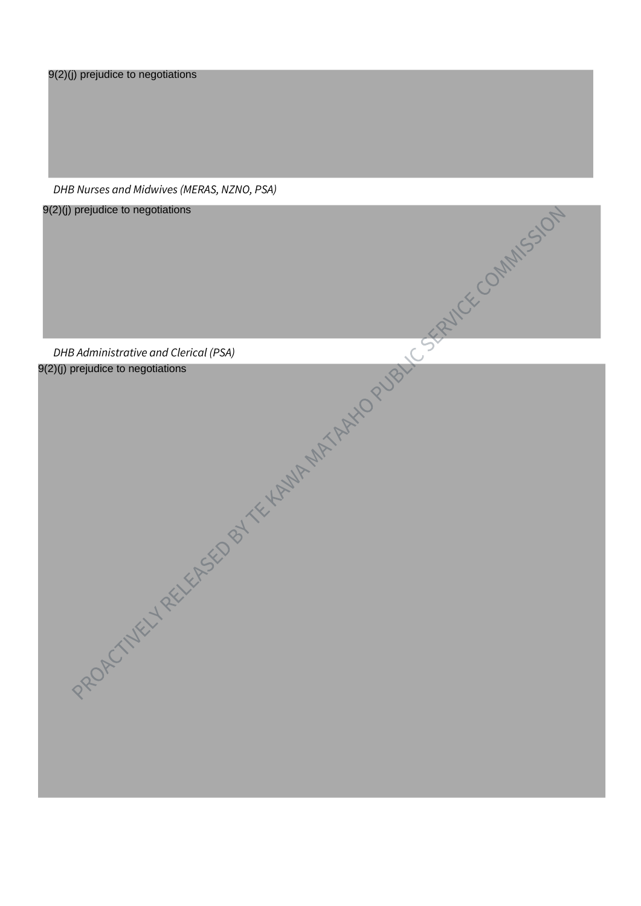9(2)(j) prejudice to negotiations

*DHB Nurses and Midwives (MERAS, NZNO, PSA)* 

9(2)(j) prejudice to negotiations

*DHB Administrative and Clerical (PSA)*  9(2)(j) prejudice to negotiations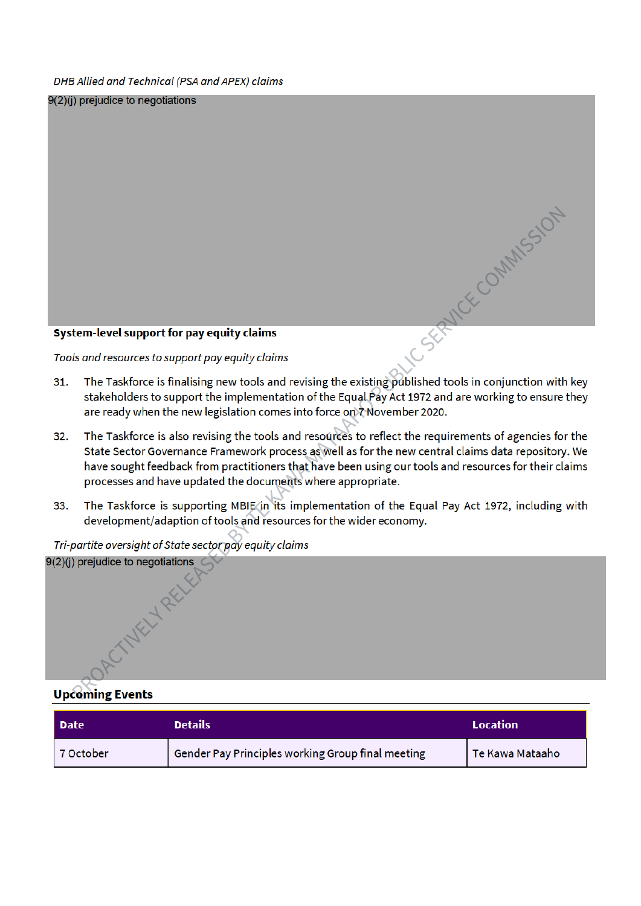DHB Allied and Technical (PSA and APEX) claims

 $9(2)(j)$  prejudice to negotiations

#### System-level support for pay equity claims

Tools and resources to support pay equity claims

- SE CSERVICE COMMISSION The Taskforce is finalising new tools and revising the existing published tools in conjunction with key  $31.$ stakeholders to support the implementation of the Equal Pay Act 1972 and are working to ensure they are ready when the new legislation comes into force on thovember 2020.
- The Taskforce is also revising the tools and resources to reflect the requirements of agencies for the  $32.$ State Sector Governance Framework process as well as for the new central claims data repository. We have sought feedback from practitioners that have been using our tools and resources for their claims processes and have updated the documents where appropriate.
- The Taskforce is supporting MBIE in its implementation of the Equal Pay Act 1972, including with 33. development/adaption of tools and resources for the wider economy.

 $9(2)(i)$  prejudice to negotiations

Tri-partite oversight of State sector pay equity claims

# **Upcoming Events**

| l Date    | <b>Details</b>                                    | <b>Location</b> |
|-----------|---------------------------------------------------|-----------------|
| 7 October | Gender Pay Principles working Group final meeting | Te Kawa Mataaho |